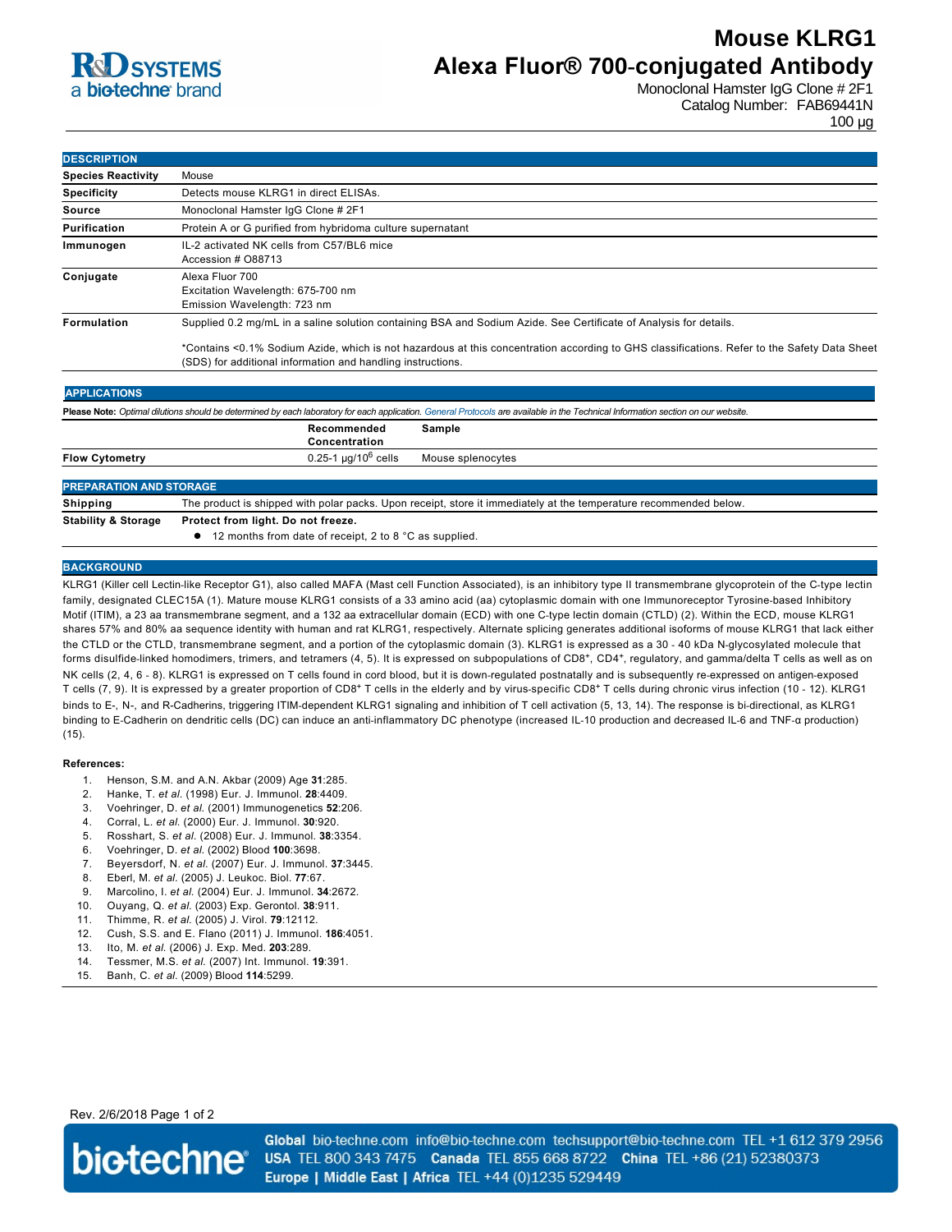# **R**d SYSTEMS a biotechne brand

# **Mouse KLRG1 Alexa Fluor® 700-conjugated Antibody**

Monoclonal Hamster IgG Clone # 2F1 Catalog Number: FAB69441N 100 µg

| <b>DESCRIPTION</b>        |                                                                                                                                                                                                            |
|---------------------------|------------------------------------------------------------------------------------------------------------------------------------------------------------------------------------------------------------|
| <b>Species Reactivity</b> | Mouse                                                                                                                                                                                                      |
| <b>Specificity</b>        | Detects mouse KLRG1 in direct ELISAs.                                                                                                                                                                      |
| <b>Source</b>             | Monoclonal Hamster IqG Clone # 2F1                                                                                                                                                                         |
| Purification              | Protein A or G purified from hybridoma culture supernatant                                                                                                                                                 |
| Immunogen                 | IL-2 activated NK cells from C57/BL6 mice<br>Accession # O88713                                                                                                                                            |
| Conjugate                 | Alexa Fluor 700<br>Excitation Wavelength: 675-700 nm<br>Emission Wavelength: 723 nm                                                                                                                        |
| <b>Formulation</b>        | Supplied 0.2 mg/mL in a saline solution containing BSA and Sodium Azide. See Certificate of Analysis for details.                                                                                          |
|                           | *Contains <0.1% Sodium Azide, which is not hazardous at this concentration according to GHS classifications. Refer to the Safety Data Sheet<br>(SDS) for additional information and handling instructions. |
| <b>APPLICATIONS</b>       |                                                                                                                                                                                                            |
|                           | Please Note: Optimal dilutions should be determined by each laboratory for each application. General Protocols are available in the Technical Information section on our website.                          |
|                           | Recommended<br>Sample<br>Concentration                                                                                                                                                                     |
| <b>Flow Cytometry</b>     | $0.25 - 1$ µg/10 <sup>6</sup> cells<br>Mouse splenocytes                                                                                                                                                   |
|                           |                                                                                                                                                                                                            |

## **PREPARATION AND STORAGE**

**Shipping** The product is shipped with polar packs. Upon receipt, store it immediately at the temperature recommended below. **Stability & Storage Protect from light. Do not freeze.**

**12 months from date of receipt, 2 to 8 °C as supplied.** 

## **BACKGROUND**

KLRG1 (Killer cell Lectinlike Receptor G1), also called MAFA (Mast cell Function Associated), is an inhibitory type II transmembrane glycoprotein of the Ctype lectin family, designated CLEC15A (1). Mature mouse KLRG1 consists of a 33 amino acid (aa) cytoplasmic domain with one Immunoreceptor Tyrosine-based Inhibitory Motif (ITIM), a 23 aa transmembrane segment, and a 132 aa extracellular domain (ECD) with one Ctype lectin domain (CTLD) (2). Within the ECD, mouse KLRG1 shares 57% and 80% aa sequence identity with human and rat KLRG1, respectively. Alternate splicing generates additional isoforms of mouse KLRG1 that lack either the CTLD or the CTLD, transmembrane segment, and a portion of the cytoplasmic domain (3). KLRG1 is expressed as a 30 - 40 kDa N-glycosylated molecule that forms disulfide-linked homodimers, trimers, and tetramers (4, 5). It is expressed on subpopulations of CD8+, CD4+, regulatory, and gamma/delta T cells as well as on NK cells (2, 4, 6 - 8). KLRG1 is expressed on T cells found in cord blood, but it is down-regulated postnatally and is subsequently re-expressed on antigen-exposed T cells (7, 9). It is expressed by a greater proportion of CD8<sup>+</sup> T cells in the elderly and by virus-specific CD8<sup>+</sup> T cells during chronic virus infection (10 - 12). KLRG1 binds to E-, N-, and R-Cadherins, triggering ITIM-dependent KLRG1 signaling and inhibition of T cell activation (5, 13, 14). The response is bi-directional, as KLRG1 binding to E-Cadherin on dendritic cells (DC) can induce an anti-inflammatory DC phenotype (increased IL-10 production and decreased IL-6 and TNF-a production) (15).

### **References:**

- 1. Henson, S.M. and A.N. Akbar (2009) Age **31**:285.
- 2. Hanke, T. *et al*. (1998) Eur. J. Immunol. **28**:4409.
- 3. Voehringer, D. *et al*. (2001) Immunogenetics **52**:206.
- 4. Corral, L. *et al*. (2000) Eur. J. Immunol. **30**:920.
- 5. Rosshart, S. *et al*. (2008) Eur. J. Immunol. **38**:3354.
- 6. Voehringer, D. *et al*. (2002) Blood **100**:3698.
- 7. Beyersdorf, N. *et al*. (2007) Eur. J. Immunol. **37**:3445.
- 8. Eberl, M. *et al*. (2005) J. Leukoc. Biol. **77**:67.
- 9. Marcolino, I. *et al*. (2004) Eur. J. Immunol. **34**:2672.
- 10. Ouyang, Q. *et al*. (2003) Exp. Gerontol. **38**:911.
- 11. Thimme, R. *et al*. (2005) J. Virol. **79**:12112.
- 12. Cush, S.S. and E. Flano (2011) J. Immunol. **186**:4051.
- 13. Ito, M. *et al*. (2006) J. Exp. Med. **203**:289.
- 14. Tessmer, M.S. *et al*. (2007) Int. Immunol. **19**:391.
- 15. Banh, C. *et al*. (2009) Blood **114**:5299.

Rev. 2/6/2018 Page 1 of 2



Global bio-techne.com info@bio-techne.com techsupport@bio-techne.com TEL +1 612 379 2956 USA TEL 800 343 7475 Canada TEL 855 668 8722 China TEL +86 (21) 52380373 Europe | Middle East | Africa TEL +44 (0)1235 529449